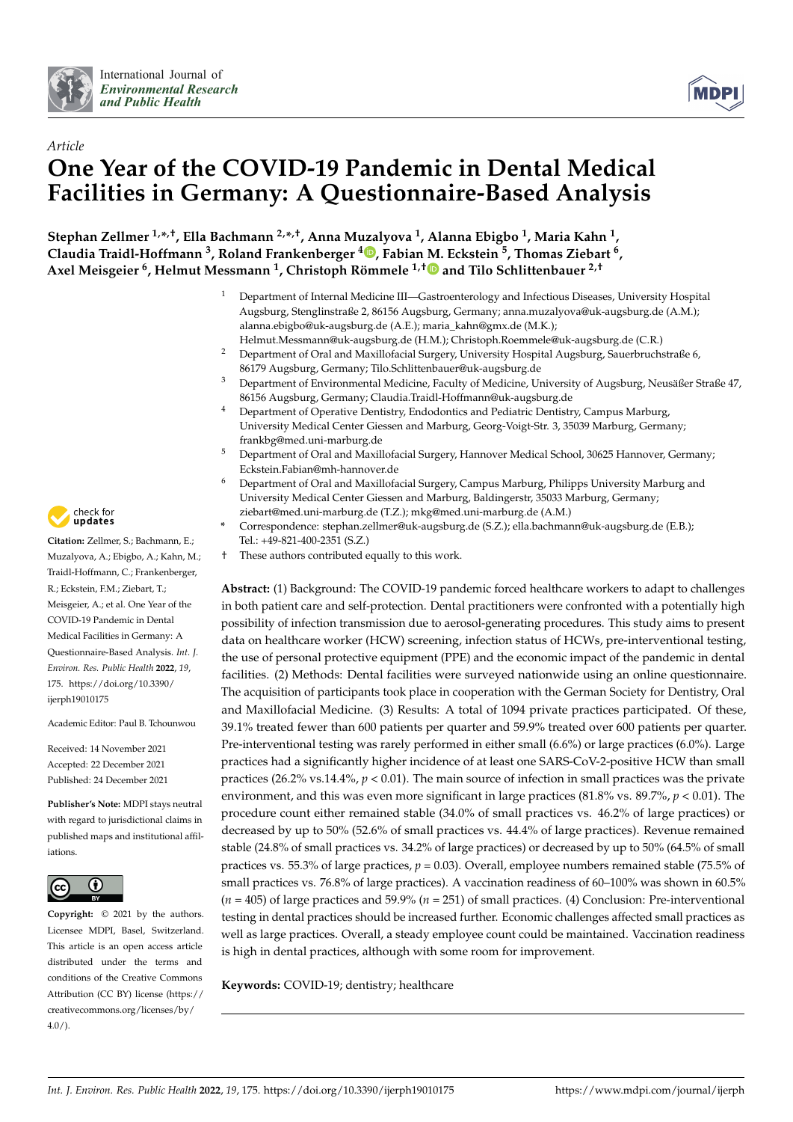



# *Article* **One Year of the COVID-19 Pandemic in Dental Medical Facilities in Germany: A Questionnaire-Based Analysis**

**Stephan Zellmer 1,\* ,†, Ella Bachmann 2,\* ,†, Anna Muzalyova <sup>1</sup> , Alanna Ebigbo <sup>1</sup> , Maria Kahn <sup>1</sup> , Claudia Traidl-Hoffmann <sup>3</sup> , Roland Frankenberger <sup>4</sup> [,](https://orcid.org/0000-0002-5112-4463) Fabian [M.](https://orcid.org/0000-0002-8745-8510) Eckstein <sup>5</sup> , Thomas Ziebart <sup>6</sup> , Axel Meisgeier <sup>6</sup> , Helmut Messmann <sup>1</sup> , Christoph Römmele 1,† and Tilo Schlittenbauer 2,†**

- <sup>1</sup> Department of Internal Medicine III—Gastroenterology and Infectious Diseases, University Hospital Augsburg, Stenglinstraße 2, 86156 Augsburg, Germany; anna.muzalyova@uk-augsburg.de (A.M.); alanna.ebigbo@uk-augsburg.de (A.E.); maria\_kahn@gmx.de (M.K.);
- Helmut.Messmann@uk-augsburg.de (H.M.); Christoph.Roemmele@uk-augsburg.de (C.R.) <sup>2</sup> Department of Oral and Maxillofacial Surgery, University Hospital Augsburg, Sauerbruchstraße 6, 86179 Augsburg, Germany; Tilo.Schlittenbauer@uk-augsburg.de
- <sup>3</sup> Department of Environmental Medicine, Faculty of Medicine, University of Augsburg, Neusäßer Straße 47, 86156 Augsburg, Germany; Claudia.Traidl-Hoffmann@uk-augsburg.de
- <sup>4</sup> Department of Operative Dentistry, Endodontics and Pediatric Dentistry, Campus Marburg, University Medical Center Giessen and Marburg, Georg-Voigt-Str. 3, 35039 Marburg, Germany; frankbg@med.uni-marburg.de
- <sup>5</sup> Department of Oral and Maxillofacial Surgery, Hannover Medical School, 30625 Hannover, Germany; Eckstein.Fabian@mh-hannover.de
- <sup>6</sup> Department of Oral and Maxillofacial Surgery, Campus Marburg, Philipps University Marburg and University Medical Center Giessen and Marburg, Baldingerstr, 35033 Marburg, Germany; ziebart@med.uni-marburg.de (T.Z.); mkg@med.uni-marburg.de (A.M.)
- **\*** Correspondence: stephan.zellmer@uk-augsburg.de (S.Z.); ella.bachmann@uk-augsburg.de (E.B.); Tel.: +49-821-400-2351 (S.Z.)
- † These authors contributed equally to this work.

**Abstract:** (1) Background: The COVID-19 pandemic forced healthcare workers to adapt to challenges in both patient care and self-protection. Dental practitioners were confronted with a potentially high possibility of infection transmission due to aerosol-generating procedures. This study aims to present data on healthcare worker (HCW) screening, infection status of HCWs, pre-interventional testing, the use of personal protective equipment (PPE) and the economic impact of the pandemic in dental facilities. (2) Methods: Dental facilities were surveyed nationwide using an online questionnaire. The acquisition of participants took place in cooperation with the German Society for Dentistry, Oral and Maxillofacial Medicine. (3) Results: A total of 1094 private practices participated. Of these, 39.1% treated fewer than 600 patients per quarter and 59.9% treated over 600 patients per quarter. Pre-interventional testing was rarely performed in either small (6.6%) or large practices (6.0%). Large practices had a significantly higher incidence of at least one SARS-CoV-2-positive HCW than small practices (26.2% vs.14.4%, *p* < 0.01). The main source of infection in small practices was the private environment, and this was even more significant in large practices (81.8% vs. 89.7%, *p* < 0.01). The procedure count either remained stable (34.0% of small practices vs. 46.2% of large practices) or decreased by up to 50% (52.6% of small practices vs. 44.4% of large practices). Revenue remained stable (24.8% of small practices vs. 34.2% of large practices) or decreased by up to 50% (64.5% of small practices vs. 55.3% of large practices, *p* = 0.03). Overall, employee numbers remained stable (75.5% of small practices vs. 76.8% of large practices). A vaccination readiness of 60–100% was shown in 60.5%  $(n = 405)$  of large practices and 59.9%  $(n = 251)$  of small practices. (4) Conclusion: Pre-interventional testing in dental practices should be increased further. Economic challenges affected small practices as well as large practices. Overall, a steady employee count could be maintained. Vaccination readiness is high in dental practices, although with some room for improvement.

**Keywords:** COVID-19; dentistry; healthcare



**Citation:** Zellmer, S.; Bachmann, E.; Muzalyova, A.; Ebigbo, A.; Kahn, M.; Traidl-Hoffmann, C.; Frankenberger, R.; Eckstein, F.M.; Ziebart, T.; Meisgeier, A.; et al. One Year of the COVID-19 Pandemic in Dental Medical Facilities in Germany: A Questionnaire-Based Analysis. *Int. J. Environ. Res. Public Health* **2022**, *19*, 175. [https://doi.org/10.3390/](https://doi.org/10.3390/ijerph19010175) [ijerph19010175](https://doi.org/10.3390/ijerph19010175)

Academic Editor: Paul B. Tchounwou

Received: 14 November 2021 Accepted: 22 December 2021 Published: 24 December 2021

**Publisher's Note:** MDPI stays neutral with regard to jurisdictional claims in published maps and institutional affiliations.



**Copyright:** © 2021 by the authors. Licensee MDPI, Basel, Switzerland. This article is an open access article distributed under the terms and conditions of the Creative Commons Attribution (CC BY) license [\(https://](https://creativecommons.org/licenses/by/4.0/) [creativecommons.org/licenses/by/](https://creativecommons.org/licenses/by/4.0/)  $4.0/$ ).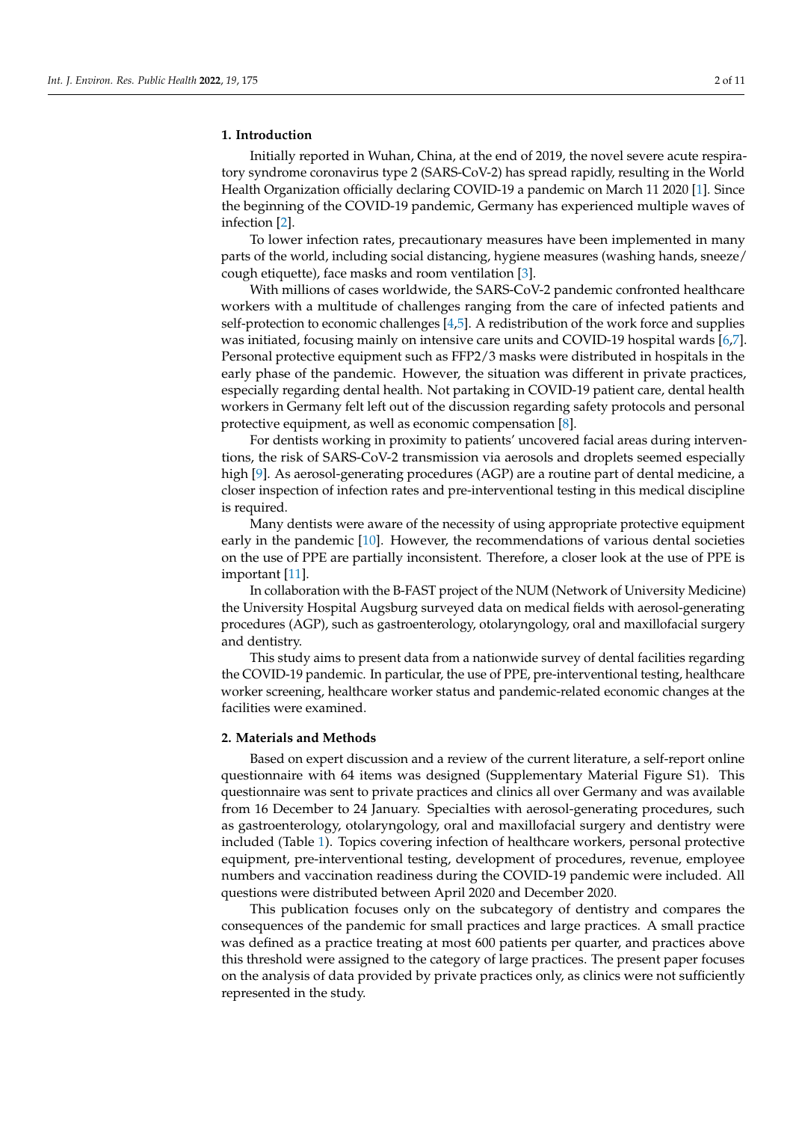## **1. Introduction**

Initially reported in Wuhan, China, at the end of 2019, the novel severe acute respiratory syndrome coronavirus type 2 (SARS-CoV-2) has spread rapidly, resulting in the World Health Organization officially declaring COVID-19 a pandemic on March 11 2020 [\[1\]](#page-9-0). Since the beginning of the COVID-19 pandemic, Germany has experienced multiple waves of infection [\[2\]](#page-9-1).

To lower infection rates, precautionary measures have been implemented in many parts of the world, including social distancing, hygiene measures (washing hands, sneeze/ cough etiquette), face masks and room ventilation [\[3\]](#page-9-2).

With millions of cases worldwide, the SARS-CoV-2 pandemic confronted healthcare workers with a multitude of challenges ranging from the care of infected patients and self-protection to economic challenges [\[4](#page-9-3)[,5\]](#page-9-4). A redistribution of the work force and supplies was initiated, focusing mainly on intensive care units and COVID-19 hospital wards [\[6,](#page-9-5)[7\]](#page-9-6). Personal protective equipment such as FFP2/3 masks were distributed in hospitals in the early phase of the pandemic. However, the situation was different in private practices, especially regarding dental health. Not partaking in COVID-19 patient care, dental health workers in Germany felt left out of the discussion regarding safety protocols and personal protective equipment, as well as economic compensation [\[8\]](#page-9-7).

For dentists working in proximity to patients' uncovered facial areas during interventions, the risk of SARS-CoV-2 transmission via aerosols and droplets seemed especially high [\[9\]](#page-9-8). As aerosol-generating procedures (AGP) are a routine part of dental medicine, a closer inspection of infection rates and pre-interventional testing in this medical discipline is required.

Many dentists were aware of the necessity of using appropriate protective equipment early in the pandemic [\[10\]](#page-9-9). However, the recommendations of various dental societies on the use of PPE are partially inconsistent. Therefore, a closer look at the use of PPE is important [\[11\]](#page-9-10).

In collaboration with the B-FAST project of the NUM (Network of University Medicine) the University Hospital Augsburg surveyed data on medical fields with aerosol-generating procedures (AGP), such as gastroenterology, otolaryngology, oral and maxillofacial surgery and dentistry.

This study aims to present data from a nationwide survey of dental facilities regarding the COVID-19 pandemic. In particular, the use of PPE, pre-interventional testing, healthcare worker screening, healthcare worker status and pandemic-related economic changes at the facilities were examined.

#### **2. Materials and Methods**

Based on expert discussion and a review of the current literature, a self-report online questionnaire with 64 items was designed (Supplementary Material Figure S1). This questionnaire was sent to private practices and clinics all over Germany and was available from 16 December to 24 January. Specialties with aerosol-generating procedures, such as gastroenterology, otolaryngology, oral and maxillofacial surgery and dentistry were included (Table [1\)](#page-2-0). Topics covering infection of healthcare workers, personal protective equipment, pre-interventional testing, development of procedures, revenue, employee numbers and vaccination readiness during the COVID-19 pandemic were included. All questions were distributed between April 2020 and December 2020.

This publication focuses only on the subcategory of dentistry and compares the consequences of the pandemic for small practices and large practices. A small practice was defined as a practice treating at most 600 patients per quarter, and practices above this threshold were assigned to the category of large practices. The present paper focuses on the analysis of data provided by private practices only, as clinics were not sufficiently represented in the study.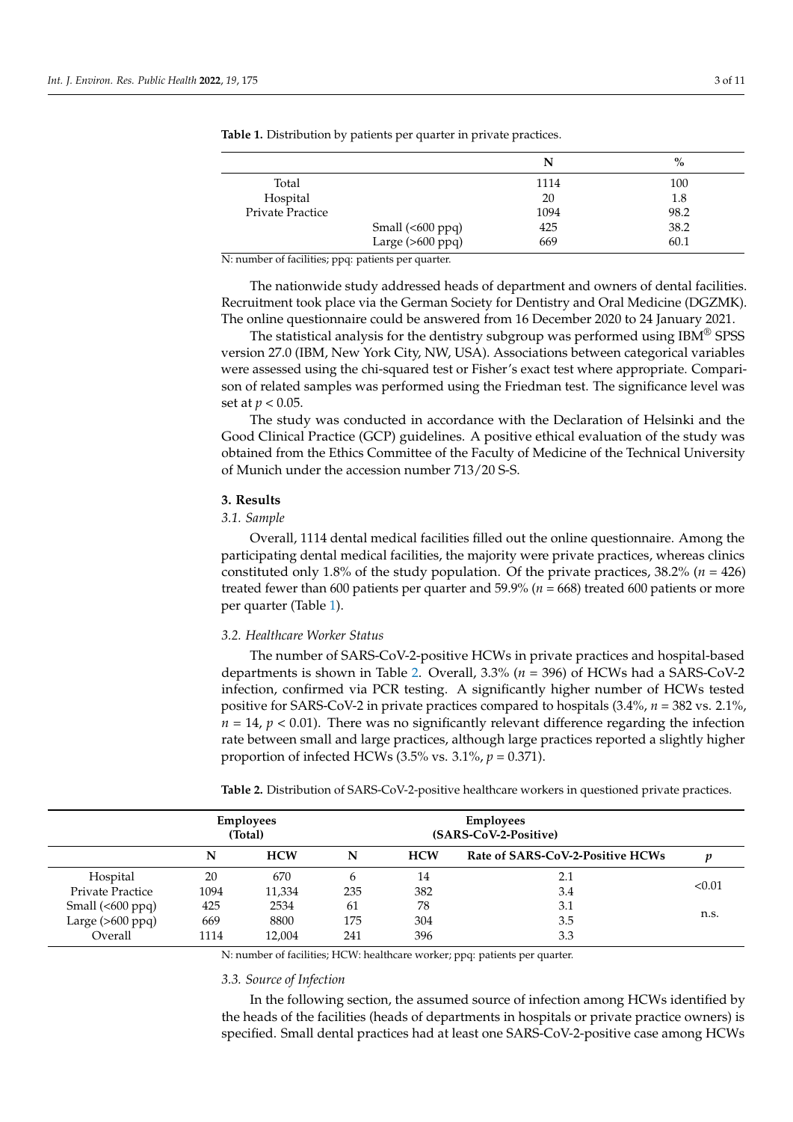|                         |                           | N    | $\%$ |
|-------------------------|---------------------------|------|------|
| Total                   |                           | 1114 | 100  |
| Hospital                |                           | 20   | 1.8  |
| <b>Private Practice</b> |                           | 1094 | 98.2 |
|                         | Small $(600 \text{ ppq})$ | 425  | 38.2 |
|                         | Large $(>600$ ppq $)$     | 669  | 60.1 |

<span id="page-2-0"></span>**Table 1.** Distribution by patients per quarter in private practices.

N: number of facilities; ppq: patients per quarter.

The nationwide study addressed heads of department and owners of dental facilities. Recruitment took place via the German Society for Dentistry and Oral Medicine (DGZMK). The online questionnaire could be answered from 16 December 2020 to 24 January 2021.

The statistical analysis for the dentistry subgroup was performed using  $IBM^{\circledR}$  SPSS version 27.0 (IBM, New York City, NW, USA). Associations between categorical variables were assessed using the chi-squared test or Fisher's exact test where appropriate. Comparison of related samples was performed using the Friedman test. The significance level was set at *p* < 0.05.

The study was conducted in accordance with the Declaration of Helsinki and the Good Clinical Practice (GCP) guidelines. A positive ethical evaluation of the study was obtained from the Ethics Committee of the Faculty of Medicine of the Technical University of Munich under the accession number 713/20 S-S.

# **3. Results**

# *3.1. Sample*

Overall, 1114 dental medical facilities filled out the online questionnaire. Among the participating dental medical facilities, the majority were private practices, whereas clinics constituted only 1.8% of the study population. Of the private practices, 38.2% (*n* = 426) treated fewer than 600 patients per quarter and 59.9% (*n* = 668) treated 600 patients or more per quarter (Table [1\)](#page-2-0).

# *3.2. Healthcare Worker Status*

The number of SARS-CoV-2-positive HCWs in private practices and hospital-based departments is shown in Table [2.](#page-2-1) Overall, 3.3% (*n* = 396) of HCWs had a SARS-CoV-2 infection, confirmed via PCR testing. A significantly higher number of HCWs tested positive for SARS-CoV-2 in private practices compared to hospitals (3.4%, *n* = 382 vs. 2.1%,  $n = 14$ ,  $p < 0.01$ ). There was no significantly relevant difference regarding the infection rate between small and large practices, although large practices reported a slightly higher proportion of infected HCWs (3.5% vs. 3.1%, *p* = 0.371).

|                           |      | <b>Employees</b><br>(Total) |     |            | <b>Employees</b><br>(SARS-CoV-2-Positive) |        |
|---------------------------|------|-----------------------------|-----|------------|-------------------------------------------|--------|
|                           | N    | <b>HCW</b>                  | N   | <b>HCW</b> | Rate of SARS-CoV-2-Positive HCWs          |        |
| Hospital                  | 20   | 670                         | 6   | 14         | 2.1                                       |        |
| Private Practice          | 1094 | 11,334                      | 235 | 382        | 3.4                                       | < 0.01 |
| Small $(600 \text{ ppq})$ | 425  | 2534                        | 61  | 78         | 3.1                                       |        |
| Large $(>600$ ppq $)$     | 669  | 8800                        | 175 | 304        | 3.5                                       | n.s.   |
| Overall                   | 1114 | 12,004                      | 241 | 396        | 3.3                                       |        |

<span id="page-2-1"></span>**Table 2.** Distribution of SARS-CoV-2-positive healthcare workers in questioned private practices.

N: number of facilities; HCW: healthcare worker; ppq: patients per quarter.

# *3.3. Source of Infection*

In the following section, the assumed source of infection among HCWs identified by the heads of the facilities (heads of departments in hospitals or private practice owners) is specified. Small dental practices had at least one SARS-CoV-2-positive case among HCWs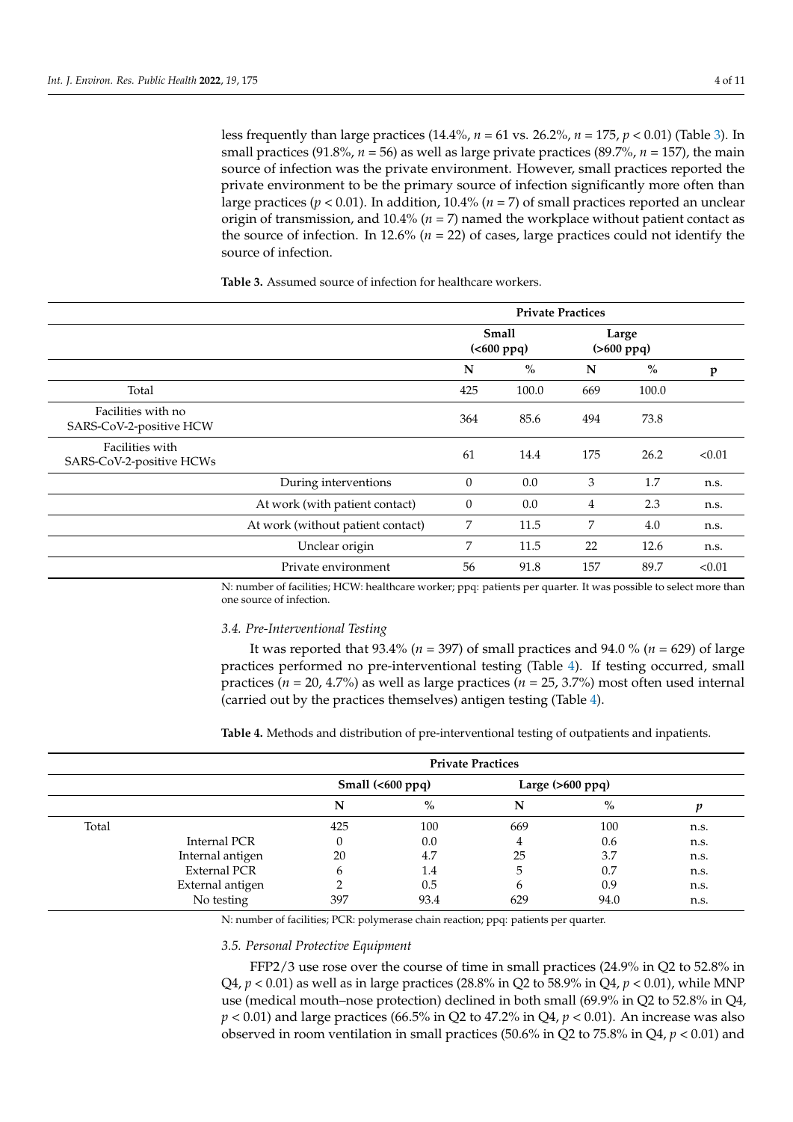less frequently than large practices (14.4%, *n* = 61 vs. 26.2%, *n* = 175, *p* < 0.01) (Table [3\)](#page-3-0). In small practices (91.8%, *n* = 56) as well as large private practices (89.7%, *n* = 157), the main source of infection was the private environment. However, small practices reported the private environment to be the primary source of infection significantly more often than large practices ( $p < 0.01$ ). In addition, 10.4% ( $n = 7$ ) of small practices reported an unclear origin of transmission, and 10.4% (*n* = 7) named the workplace without patient contact as the source of infection. In 12.6% (*n* = 22) of cases, large practices could not identify the source of infection.

**Private Practices Small (<600 ppq)**

<span id="page-3-0"></span>**Table 3.** Assumed source of infection for healthcare workers.

|                                               |                                   |          | <b>Small</b><br>( <b>600</b> ppq) |     | Large<br>$( > 600 \text{ ppq})$ |        |
|-----------------------------------------------|-----------------------------------|----------|-----------------------------------|-----|---------------------------------|--------|
|                                               |                                   | N        | $\%$                              | N   | $\frac{0}{0}$                   | p      |
| Total                                         |                                   | 425      | 100.0                             | 669 | 100.0                           |        |
| Facilities with no<br>SARS-CoV-2-positive HCW |                                   | 364      | 85.6                              | 494 | 73.8                            |        |
| Facilities with<br>SARS-CoV-2-positive HCWs   |                                   | 61       | 14.4                              | 175 | 26.2                            | < 0.01 |
|                                               | During interventions              | $\theta$ | 0.0                               | 3   | 1.7                             | n.s.   |
|                                               | At work (with patient contact)    | $\theta$ | 0.0                               | 4   | 2.3                             | n.s.   |
|                                               | At work (without patient contact) | 7        | 11.5                              | 7   | 4.0                             | n.s.   |
|                                               | Unclear origin                    | 7        | 11.5                              | 22  | 12.6                            | n.s.   |
|                                               | Private environment               | 56       | 91.8                              | 157 | 89.7                            | < 0.01 |

N: number of facilities; HCW: healthcare worker; ppq: patients per quarter. It was possible to select more than one source of infection.

# *3.4. Pre-Interventional Testing*

It was reported that 93.4% (*n* = 397) of small practices and 94.0 % (*n* = 629) of large practices performed no pre-interventional testing (Table [4\)](#page-3-1). If testing occurred, small practices (*n* = 20, 4.7%) as well as large practices (*n* = 25, 3.7%) most often used internal (carried out by the practices themselves) antigen testing (Table [4\)](#page-3-1).

<span id="page-3-1"></span>**Table 4.** Methods and distribution of pre-interventional testing of outpatients and inpatients.

|       |                     |     |                           | <b>Private Practices</b> |                    |      |
|-------|---------------------|-----|---------------------------|--------------------------|--------------------|------|
|       |                     |     | Small $(600 \text{ ppq})$ |                          | Large $(>600$ ppq) |      |
|       |                     | N   | $\%$                      | N                        | $\%$               |      |
| Total |                     | 425 | 100                       | 669                      | 100                | n.s. |
|       | Internal PCR        |     | 0.0                       | 4                        | 0.6                | n.s. |
|       | Internal antigen    | 20  | 4.7                       | 25                       | 3.7                | n.s. |
|       | <b>External PCR</b> | h   | 1.4                       | 5                        | 0.7                | n.s. |
|       | External antigen    |     | 0.5                       | b                        | 0.9                | n.s. |
|       | No testing          | 397 | 93.4                      | 629                      | 94.0               | n.s. |

N: number of facilities; PCR: polymerase chain reaction; ppq: patients per quarter.

#### *3.5. Personal Protective Equipment*

FFP2/3 use rose over the course of time in small practices (24.9% in Q2 to 52.8% in Q4, *p* < 0.01) as well as in large practices (28.8% in Q2 to 58.9% in Q4, *p* < 0.01), while MNP use (medical mouth–nose protection) declined in both small (69.9% in Q2 to 52.8% in Q4,  $p < 0.01$ ) and large practices (66.5% in Q2 to 47.2% in Q4,  $p < 0.01$ ). An increase was also observed in room ventilation in small practices (50.6% in Q2 to 75.8% in Q4, *p* < 0.01) and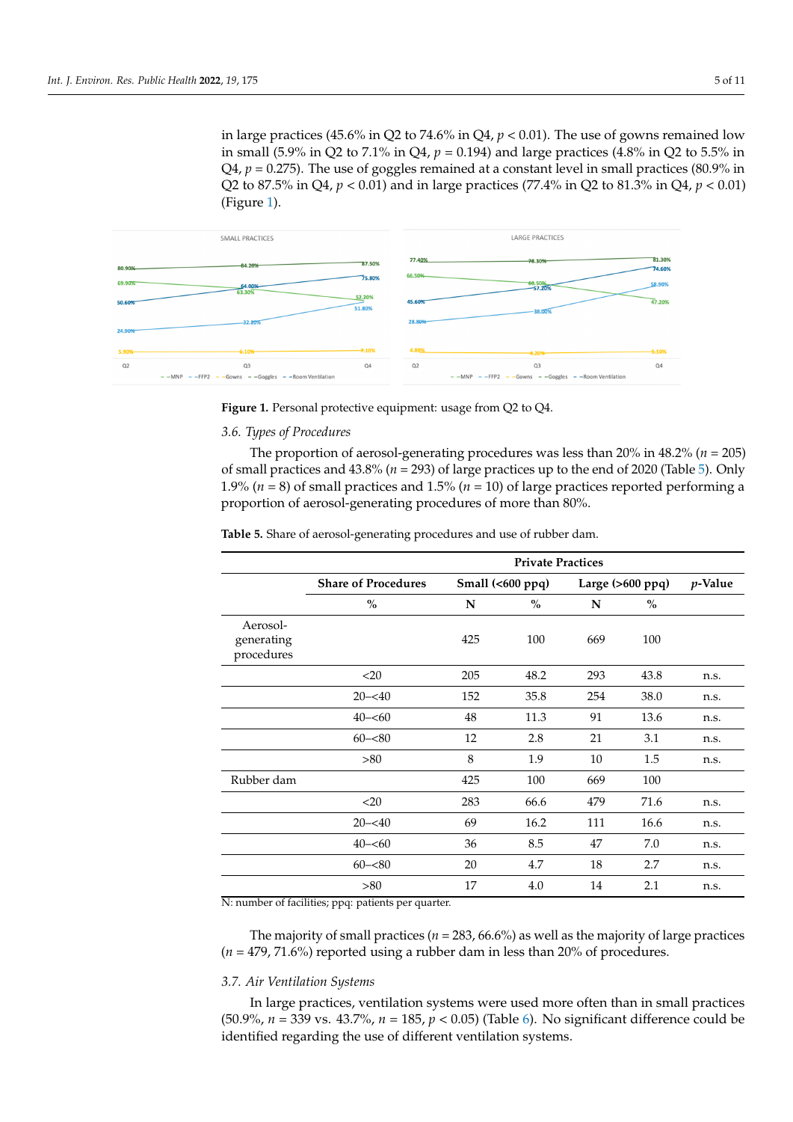<span id="page-4-0"></span>in large practices (45.6% in Q2 to 74.6% in Q4,  $p < 0.01$ ). The use of gowns remained low in small (5.9% in Q2 to 7.1% in Q4, *p* = 0.194) and large practices (4.8% in Q2 to 5.5% in in small (5.9% in Q2 to 7.1% in Q4, *p* = 0.194) and large practices (4.8% in Q2 to 5.5% in Q4, Q4,  $p = 0.275$ ). The use of goggles remained at a constant level in small practices (80.9% in Q2 to 87.5% in Q4, *p* < 0.01) and in large practices (77.4% in Q2 to 81.3% in Q4, *p* < 0.01) to 87.5% in Q4, *p* < 0.01) and in large practices (77.4% in Q2 to 81.3% in Q4, *p* < 0.01) (Figure 1). (Figure [1\)](#page-4-0).



**Figure 1.** Personal protective equipment: usage from Q2 to Q4. **Figure 1.** Personal protective equipment: usage from Q2 to Q4.

# *3.6. Types of Procedures 3.6. Types of Procedures*

The proportion of aerosol-generating procedures was less than 20% in 48.2% (*n* = 205) The proportion of aerosol-generating procedures was less than 20% in 48.2% (*n* = 205) of small practices and 43.8% (*n* = 293) of large practices up to the end of 2020 ([Ta](#page-4-1)ble 5). of small practices and 43.8% (*n* = 293) of large practices up to the end of 2020 (Table 5). Only 1.9% ( $n = 8$ ) of small practices and 1.5% ( $n = 10$ ) of large practices reported performing a proportion of aerosol-generating procedures of more than 80%.

|                                      | <b>Private Practices</b>   |     |                  |     |                       |         |
|--------------------------------------|----------------------------|-----|------------------|-----|-----------------------|---------|
|                                      | <b>Share of Procedures</b> |     | Small (<600 ppq) |     | Large $(>600$ ppq $)$ | p-Value |
|                                      | $\%$                       | N   | $\%$             | N   | $\frac{0}{0}$         |         |
| Aerosol-<br>generating<br>procedures |                            | 425 | 100              | 669 | 100                   |         |
|                                      | $<$ 20                     | 205 | 48.2             | 293 | 43.8                  | n.s.    |
|                                      | $20 - 540$                 | 152 | 35.8             | 254 | 38.0                  | n.s.    |
|                                      | $40 - 60$                  | 48  | 11.3             | 91  | 13.6                  | n.s.    |
|                                      | $60 - 80$                  | 12  | 2.8              | 21  | 3.1                   | n.s.    |
|                                      | >80                        | 8   | 1.9              | 10  | 1.5                   | n.s.    |
| Rubber dam                           |                            | 425 | 100              | 669 | 100                   |         |
|                                      | $<$ 20                     | 283 | 66.6             | 479 | 71.6                  | n.s.    |
|                                      | $20 - 40$                  | 69  | 16.2             | 111 | 16.6                  | n.s.    |
|                                      | $40 - 60$                  | 36  | 8.5              | 47  | 7.0                   | n.s.    |
|                                      | $60 - 80$                  | 20  | 4.7              | 18  | 2.7                   | n.s.    |
|                                      | >80                        | 17  | 4.0              | 14  | 2.1                   | n.s.    |

<span id="page-4-1"></span>The majority of small practices (*n* = 283, 66.6%) as well as the majority of large prac-**Table 5.** Share of aerosol-generating procedures and use of rubber dam.

N: number of facilities; ppq: patients per quarter.

The majority of small practices (*n* = 283, 66.6%) as well as the majority of large practices (*n* = 479, 71.6%) reported using a rubber dam in less than 20% of procedures.

## *3.7. Air Ventilation Systems*

In large practices, ventilation systems were used more often than in small practices (50.9%, *n* = 339 vs. 43.7%, *n* = 185, *p* < 0.05) (Table [6\)](#page-5-0). No significant difference could be identified regarding the use of different ventilation systems.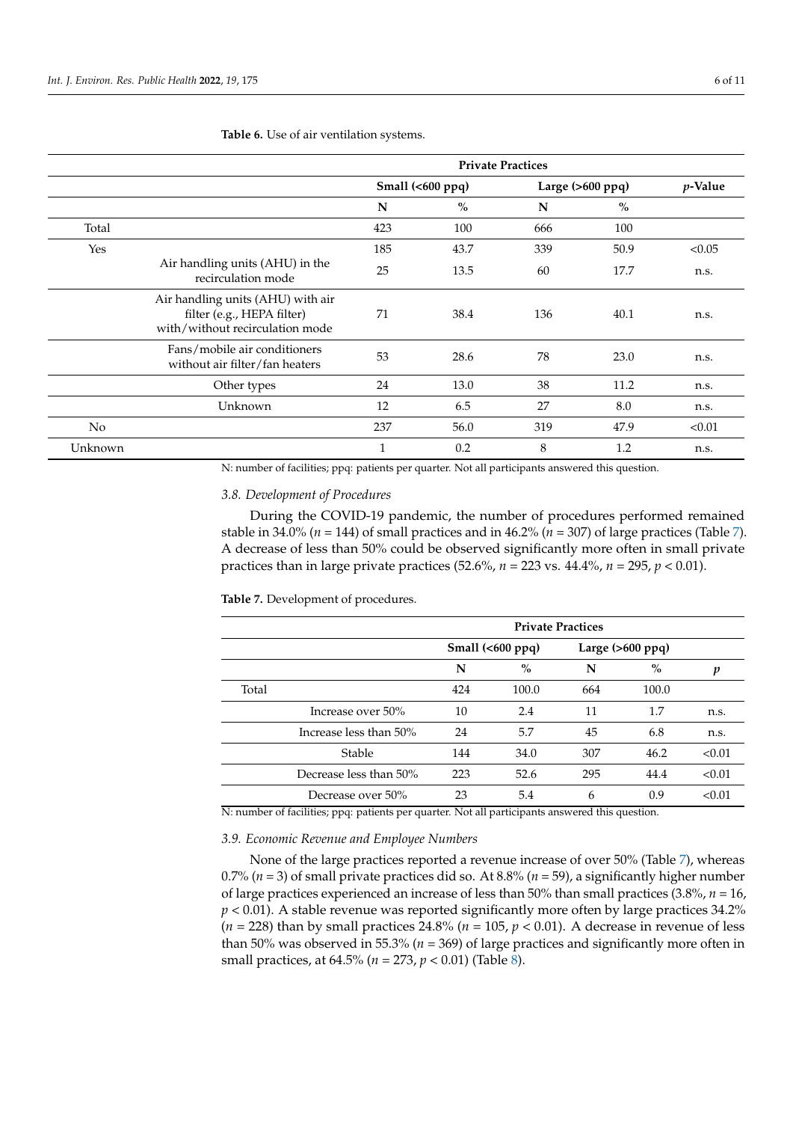|                |                                                                                                    |              | <b>Private Practices</b> |     |                    |                 |
|----------------|----------------------------------------------------------------------------------------------------|--------------|--------------------------|-----|--------------------|-----------------|
|                |                                                                                                    |              | Small $(600 ppq)$        |     | Large $(>600$ ppq) | <i>p</i> -Value |
|                |                                                                                                    | N            | $\%$                     | N   | $\frac{0}{0}$      |                 |
| Total          |                                                                                                    | 423          | 100                      | 666 | 100                |                 |
| Yes            |                                                                                                    | 185          | 43.7                     | 339 | 50.9               | < 0.05          |
|                | Air handling units (AHU) in the<br>recirculation mode                                              | 25           | 13.5                     | 60  | 17.7               | n.s.            |
|                | Air handling units (AHU) with air<br>filter (e.g., HEPA filter)<br>with/without recirculation mode | 71           | 38.4                     | 136 | 40.1               | n.s.            |
|                | Fans/mobile air conditioners<br>without air filter/fan heaters                                     | 53           | 28.6                     | 78  | 23.0               | n.s.            |
|                | Other types                                                                                        | 24           | 13.0                     | 38  | 11.2               | n.s.            |
|                | Unknown                                                                                            | 12           | 6.5                      | 27  | 8.0                | n.s.            |
| N <sub>o</sub> |                                                                                                    | 237          | 56.0                     | 319 | 47.9               | < 0.01          |
| Unknown        |                                                                                                    | $\mathbf{1}$ | 0.2                      | 8   | 1.2                | n.s.            |

<span id="page-5-0"></span>**Table 6.** Use of air ventilation systems.

N: number of facilities; ppq: patients per quarter. Not all participants answered this question.

# *3.8. Development of Procedures*

During the COVID-19 pandemic, the number of procedures performed remained stable in 34.0% ( $n = 144$ ) of small practices and in 46.2% ( $n = 307$ ) of large practices (Table [7\)](#page-5-1). A decrease of less than 50% could be observed significantly more often in small private practices than in large private practices (52.6%, *n* = 223 vs. 44.4%, *n* = 295, *p* < 0.01).

<span id="page-5-1"></span>**Table 7.** Development of procedures.

|       |                        |     | <b>Private Practices</b>  |     |                    |        |
|-------|------------------------|-----|---------------------------|-----|--------------------|--------|
|       |                        |     | Small $(600 \text{ ppq})$ |     | Large $(>600$ ppq) |        |
|       |                        | N   | $\%$                      | N   | $\%$               | п      |
| Total |                        | 424 | 100.0                     | 664 | 100.0              |        |
|       | Increase over 50%      | 10  | 2.4                       | 11  | 1.7                | n.s.   |
|       | Increase less than 50% | 24  | 5.7                       | 45  | 6.8                | n.s.   |
|       | Stable                 | 144 | 34.0                      | 307 | 46.2               | < 0.01 |
|       | Decrease less than 50% | 223 | 52.6                      | 295 | 44.4               | < 0.01 |
|       | Decrease over 50%      | 23  | 5.4                       | 6   | 0.9                | < 0.01 |

N: number of facilities; ppq: patients per quarter. Not all participants answered this question.

*3.9. Economic Revenue and Employee Numbers*

None of the large practices reported a revenue increase of over 50% (Table [7\)](#page-5-1), whereas 0.7% (*n* = 3) of small private practices did so. At 8.8% (*n* = 59), a significantly higher number of large practices experienced an increase of less than 50% than small practices (3.8%, *n* = 16,  $p < 0.01$ ). A stable revenue was reported significantly more often by large practices  $34.2\%$  $(n = 228)$  than by small practices 24.8%  $(n = 105, p < 0.01)$ . A decrease in revenue of less than 50% was observed in 55.3% (*n* = 369) of large practices and significantly more often in small practices, at 64.5% (*n* = 273, *p* < 0.01) (Table [8\)](#page-6-0).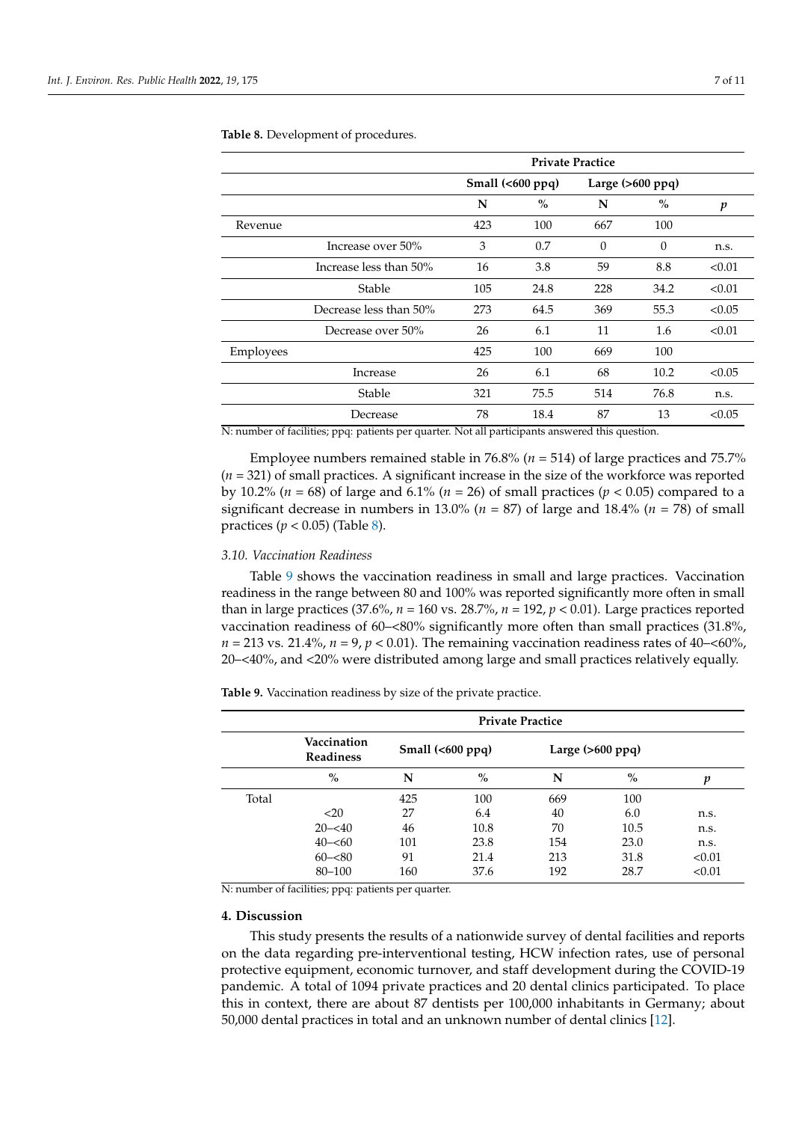|           |                        |     |                           | <b>Private Practice</b> |                    |                  |
|-----------|------------------------|-----|---------------------------|-------------------------|--------------------|------------------|
|           |                        |     | Small $(600 \text{ ppq})$ |                         | Large $(>600$ ppq) |                  |
|           |                        | N   | $\frac{0}{0}$             | N                       | $\%$               | $\boldsymbol{p}$ |
| Revenue   |                        | 423 | 100                       | 667                     | 100                |                  |
|           | Increase over 50%      | 3   | 0.7                       | $\Omega$                | $\theta$           | n.s.             |
|           | Increase less than 50% | 16  | 3.8                       | 59                      | 8.8                | < 0.01           |
|           | Stable                 | 105 | 24.8                      | 228                     | 34.2               | < 0.01           |
|           | Decrease less than 50% | 273 | 64.5                      | 369                     | 55.3               | < 0.05           |
|           | Decrease over 50%      | 26  | 6.1                       | 11                      | 1.6                | < 0.01           |
| Employees |                        | 425 | 100                       | 669                     | 100                |                  |
|           | Increase               | 26  | 6.1                       | 68                      | 10.2               | < 0.05           |
|           | Stable                 | 321 | 75.5                      | 514                     | 76.8               | n.s.             |
|           | Decrease               | 78  | 18.4                      | 87                      | 13                 | < 0.05           |

<span id="page-6-0"></span>**Table 8.** Development of procedures.

N: number of facilities; ppq: patients per quarter. Not all participants answered this question.

Employee numbers remained stable in 76.8% (*n* = 514) of large practices and 75.7% (*n* = 321) of small practices. A significant increase in the size of the workforce was reported by 10.2% (*n* = 68) of large and 6.1% (*n* = 26) of small practices (*p* < 0.05) compared to a significant decrease in numbers in 13.0% ( $n = 87$ ) of large and 18.4% ( $n = 78$ ) of small practices  $(p < 0.05)$  (Table [8\)](#page-6-0).

#### *3.10. Vaccination Readiness*

Table [9](#page-6-1) shows the vaccination readiness in small and large practices. Vaccination readiness in the range between 80 and 100% was reported significantly more often in small than in large practices (37.6%,  $n = 160$  vs. 28.7%,  $n = 192$ ,  $p < 0.01$ ). Large practices reported vaccination readiness of 60–<80% significantly more often than small practices (31.8%,  $n = 213$  vs. 21.4%,  $n = 9$ ,  $p < 0.01$ ). The remaining vaccination readiness rates of 40–<60%, 20–<40%, and <20% were distributed among large and small practices relatively equally.

<span id="page-6-1"></span>**Table 9.** Vaccination readiness by size of the private practice.

|       | <b>Private Practice</b>         |     |                           |     |                    |        |  |  |
|-------|---------------------------------|-----|---------------------------|-----|--------------------|--------|--|--|
|       | Vaccination<br><b>Readiness</b> |     | Small $(600 \text{ ppq})$ |     | Large $(>600$ ppq) |        |  |  |
|       | $\%$                            | N   | $\%$                      | N   | $\%$               | p      |  |  |
| Total |                                 | 425 | 100                       | 669 | 100                |        |  |  |
|       | <20                             | 27  | 6.4                       | 40  | 6.0                | n.s.   |  |  |
|       | $20 - 540$                      | 46  | 10.8                      | 70  | 10.5               | n.s.   |  |  |
|       | $40 - 60$                       | 101 | 23.8                      | 154 | 23.0               | n.s.   |  |  |
|       | $60 - 80$                       | 91  | 21.4                      | 213 | 31.8               | < 0.01 |  |  |
|       | 80-100                          | 160 | 37.6                      | 192 | 28.7               | < 0.01 |  |  |

N: number of facilities; ppq: patients per quarter.

#### **4. Discussion**

This study presents the results of a nationwide survey of dental facilities and reports on the data regarding pre-interventional testing, HCW infection rates, use of personal protective equipment, economic turnover, and staff development during the COVID-19 pandemic. A total of 1094 private practices and 20 dental clinics participated. To place this in context, there are about 87 dentists per 100,000 inhabitants in Germany; about 50,000 dental practices in total and an unknown number of dental clinics [\[12\]](#page-9-11).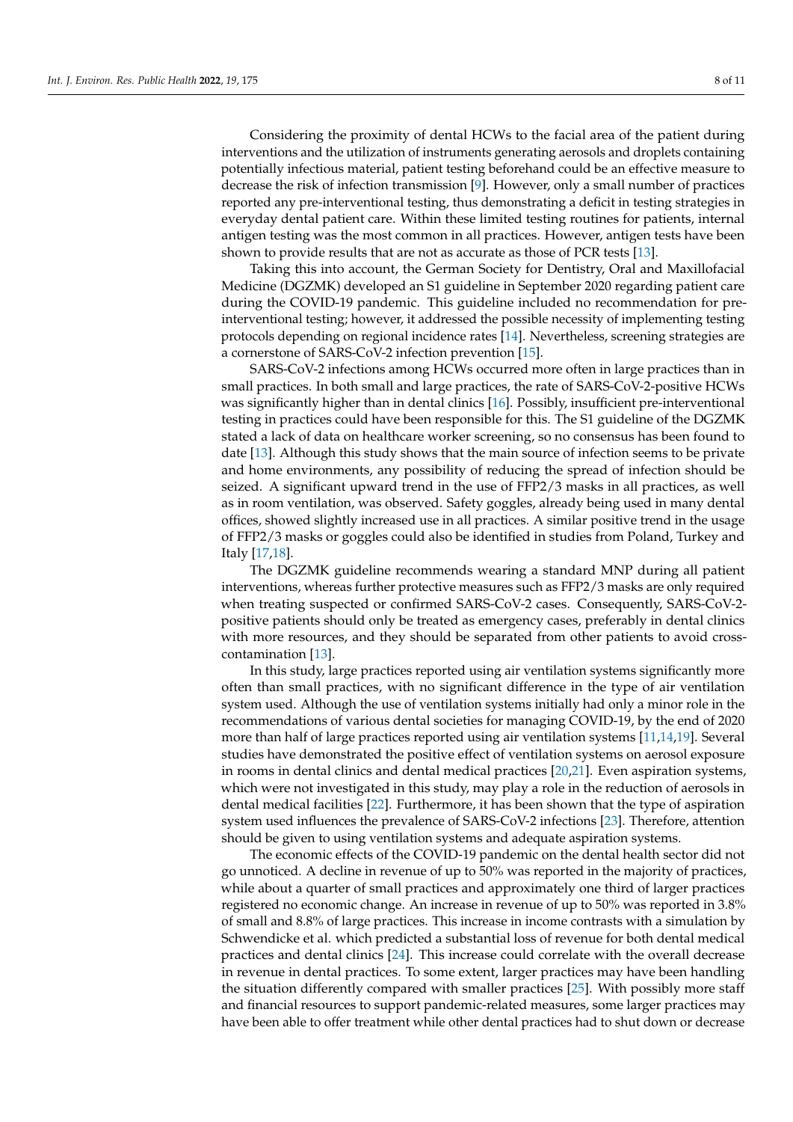Considering the proximity of dental HCWs to the facial area of the patient during interventions and the utilization of instruments generating aerosols and droplets containing potentially infectious material, patient testing beforehand could be an effective measure to decrease the risk of infection transmission [\[9\]](#page-9-8). However, only a small number of practices reported any pre-interventional testing, thus demonstrating a deficit in testing strategies in everyday dental patient care. Within these limited testing routines for patients, internal antigen testing was the most common in all practices. However, antigen tests have been shown to provide results that are not as accurate as those of PCR tests [\[13\]](#page-9-12).

Taking this into account, the German Society for Dentistry, Oral and Maxillofacial Medicine (DGZMK) developed an S1 guideline in September 2020 regarding patient care during the COVID-19 pandemic. This guideline included no recommendation for preinterventional testing; however, it addressed the possible necessity of implementing testing protocols depending on regional incidence rates [\[14\]](#page-9-13). Nevertheless, screening strategies are a cornerstone of SARS-CoV-2 infection prevention [\[15\]](#page-9-14).

SARS-CoV-2 infections among HCWs occurred more often in large practices than in small practices. In both small and large practices, the rate of SARS-CoV-2-positive HCWs was significantly higher than in dental clinics [\[16\]](#page-9-15). Possibly, insufficient pre-interventional testing in practices could have been responsible for this. The S1 guideline of the DGZMK stated a lack of data on healthcare worker screening, so no consensus has been found to date [\[13\]](#page-9-12). Although this study shows that the main source of infection seems to be private and home environments, any possibility of reducing the spread of infection should be seized. A significant upward trend in the use of FFP2/3 masks in all practices, as well as in room ventilation, was observed. Safety goggles, already being used in many dental offices, showed slightly increased use in all practices. A similar positive trend in the usage of FFP2/3 masks or goggles could also be identified in studies from Poland, Turkey and Italy [\[17,](#page-9-16)[18\]](#page-9-17).

The DGZMK guideline recommends wearing a standard MNP during all patient interventions, whereas further protective measures such as FFP2/3 masks are only required when treating suspected or confirmed SARS-CoV-2 cases. Consequently, SARS-CoV-2 positive patients should only be treated as emergency cases, preferably in dental clinics with more resources, and they should be separated from other patients to avoid crosscontamination [\[13\]](#page-9-12).

In this study, large practices reported using air ventilation systems significantly more often than small practices, with no significant difference in the type of air ventilation system used. Although the use of ventilation systems initially had only a minor role in the recommendations of various dental societies for managing COVID-19, by the end of 2020 more than half of large practices reported using air ventilation systems [\[11,](#page-9-10)[14,](#page-9-13)[19\]](#page-9-18). Several studies have demonstrated the positive effect of ventilation systems on aerosol exposure in rooms in dental clinics and dental medical practices [\[20](#page-9-19)[,21\]](#page-9-20). Even aspiration systems, which were not investigated in this study, may play a role in the reduction of aerosols in dental medical facilities [\[22\]](#page-9-21). Furthermore, it has been shown that the type of aspiration system used influences the prevalence of SARS-CoV-2 infections [\[23\]](#page-10-0). Therefore, attention should be given to using ventilation systems and adequate aspiration systems.

The economic effects of the COVID-19 pandemic on the dental health sector did not go unnoticed. A decline in revenue of up to 50% was reported in the majority of practices, while about a quarter of small practices and approximately one third of larger practices registered no economic change. An increase in revenue of up to 50% was reported in 3.8% of small and 8.8% of large practices. This increase in income contrasts with a simulation by Schwendicke et al. which predicted a substantial loss of revenue for both dental medical practices and dental clinics [\[24\]](#page-10-1). This increase could correlate with the overall decrease in revenue in dental practices. To some extent, larger practices may have been handling the situation differently compared with smaller practices [\[25\]](#page-10-2). With possibly more staff and financial resources to support pandemic-related measures, some larger practices may have been able to offer treatment while other dental practices had to shut down or decrease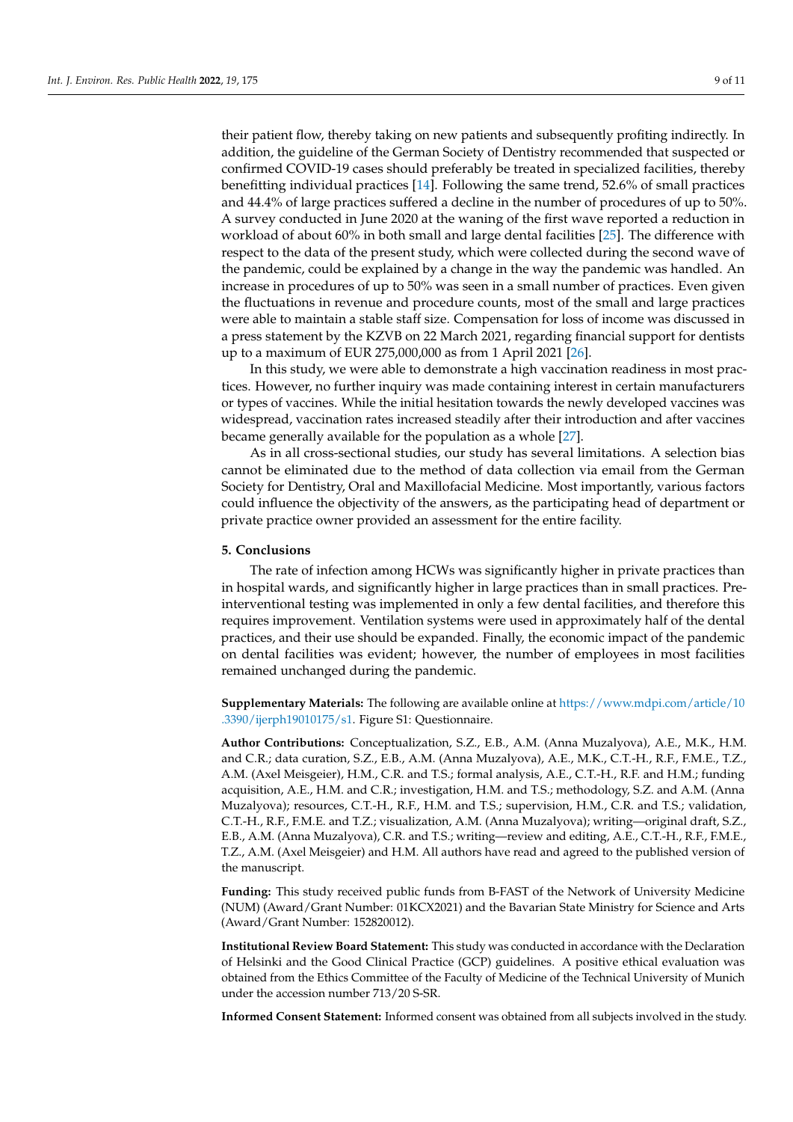their patient flow, thereby taking on new patients and subsequently profiting indirectly. In addition, the guideline of the German Society of Dentistry recommended that suspected or confirmed COVID-19 cases should preferably be treated in specialized facilities, thereby benefitting individual practices [\[14\]](#page-9-13). Following the same trend, 52.6% of small practices and 44.4% of large practices suffered a decline in the number of procedures of up to 50%. A survey conducted in June 2020 at the waning of the first wave reported a reduction in workload of about 60% in both small and large dental facilities [\[25\]](#page-10-2). The difference with respect to the data of the present study, which were collected during the second wave of the pandemic, could be explained by a change in the way the pandemic was handled. An increase in procedures of up to 50% was seen in a small number of practices. Even given the fluctuations in revenue and procedure counts, most of the small and large practices were able to maintain a stable staff size. Compensation for loss of income was discussed in a press statement by the KZVB on 22 March 2021, regarding financial support for dentists up to a maximum of EUR 275,000,000 as from 1 April 2021 [\[26\]](#page-10-3).

In this study, we were able to demonstrate a high vaccination readiness in most practices. However, no further inquiry was made containing interest in certain manufacturers or types of vaccines. While the initial hesitation towards the newly developed vaccines was widespread, vaccination rates increased steadily after their introduction and after vaccines became generally available for the population as a whole [\[27\]](#page-10-4).

As in all cross-sectional studies, our study has several limitations. A selection bias cannot be eliminated due to the method of data collection via email from the German Society for Dentistry, Oral and Maxillofacial Medicine. Most importantly, various factors could influence the objectivity of the answers, as the participating head of department or private practice owner provided an assessment for the entire facility.

# **5. Conclusions**

The rate of infection among HCWs was significantly higher in private practices than in hospital wards, and significantly higher in large practices than in small practices. Preinterventional testing was implemented in only a few dental facilities, and therefore this requires improvement. Ventilation systems were used in approximately half of the dental practices, and their use should be expanded. Finally, the economic impact of the pandemic on dental facilities was evident; however, the number of employees in most facilities remained unchanged during the pandemic.

**Supplementary Materials:** The following are available online at [https://www.mdpi.com/article/10](https://www.mdpi.com/article/10.3390/ijerph19010175/s1) [.3390/ijerph19010175/s1.](https://www.mdpi.com/article/10.3390/ijerph19010175/s1) Figure S1: Questionnaire.

**Author Contributions:** Conceptualization, S.Z., E.B., A.M. (Anna Muzalyova), A.E., M.K., H.M. and C.R.; data curation, S.Z., E.B., A.M. (Anna Muzalyova), A.E., M.K., C.T.-H., R.F., F.M.E., T.Z., A.M. (Axel Meisgeier), H.M., C.R. and T.S.; formal analysis, A.E., C.T.-H., R.F. and H.M.; funding acquisition, A.E., H.M. and C.R.; investigation, H.M. and T.S.; methodology, S.Z. and A.M. (Anna Muzalyova); resources, C.T.-H., R.F., H.M. and T.S.; supervision, H.M., C.R. and T.S.; validation, C.T.-H., R.F., F.M.E. and T.Z.; visualization, A.M. (Anna Muzalyova); writing—original draft, S.Z., E.B., A.M. (Anna Muzalyova), C.R. and T.S.; writing—review and editing, A.E., C.T.-H., R.F., F.M.E., T.Z., A.M. (Axel Meisgeier) and H.M. All authors have read and agreed to the published version of the manuscript.

**Funding:** This study received public funds from B-FAST of the Network of University Medicine (NUM) (Award/Grant Number: 01KCX2021) and the Bavarian State Ministry for Science and Arts (Award/Grant Number: 152820012).

**Institutional Review Board Statement:** This study was conducted in accordance with the Declaration of Helsinki and the Good Clinical Practice (GCP) guidelines. A positive ethical evaluation was obtained from the Ethics Committee of the Faculty of Medicine of the Technical University of Munich under the accession number 713/20 S-SR.

**Informed Consent Statement:** Informed consent was obtained from all subjects involved in the study.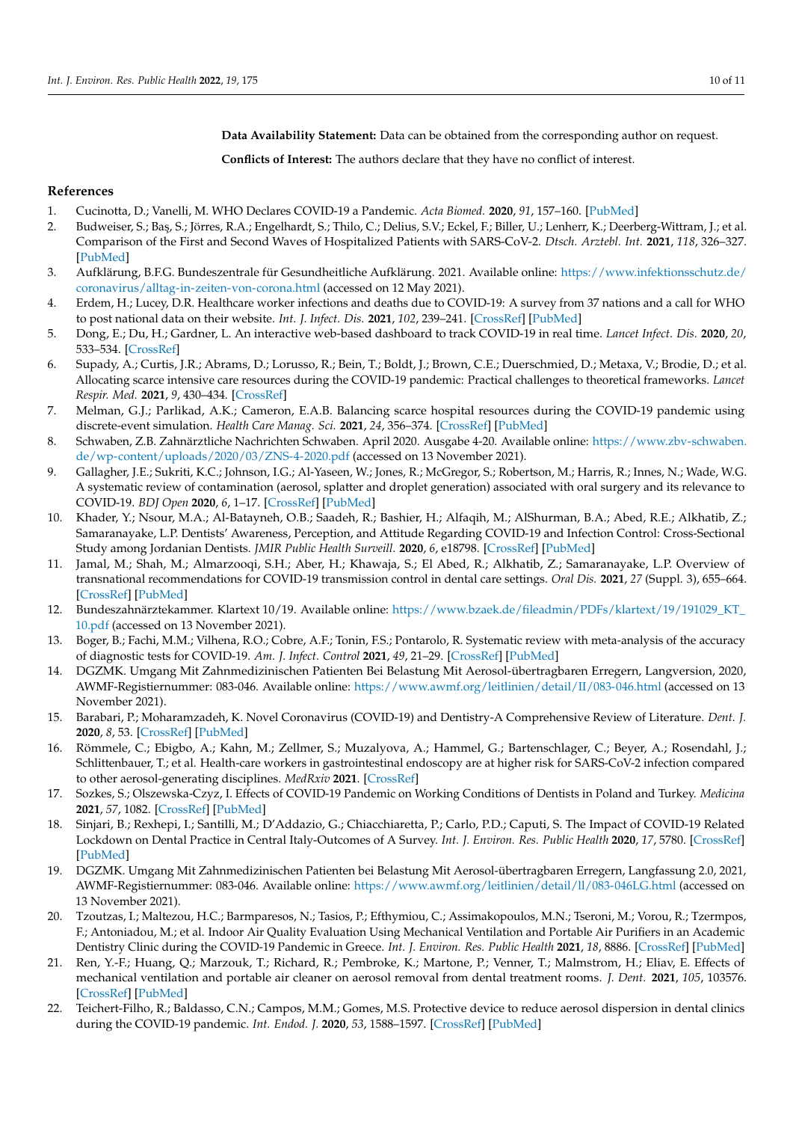**Data Availability Statement:** Data can be obtained from the corresponding author on request.

**Conflicts of Interest:** The authors declare that they have no conflict of interest.

# **References**

- <span id="page-9-0"></span>1. Cucinotta, D.; Vanelli, M. WHO Declares COVID-19 a Pandemic. *Acta Biomed.* **2020**, *91*, 157–160. [\[PubMed\]](http://www.ncbi.nlm.nih.gov/pubmed/32191675)
- <span id="page-9-1"></span>2. Budweiser, S.; Baş, S.; Jörres, R.A.; Engelhardt, S.; Thilo, C.; Delius, S.V.; Eckel, F.; Biller, U.; Lenherr, K.; Deerberg-Wittram, J.; et al. Comparison of the First and Second Waves of Hospitalized Patients with SARS-CoV-2. *Dtsch. Arztebl. Int.* **2021**, *118*, 326–327. [\[PubMed\]](http://www.ncbi.nlm.nih.gov/pubmed/34140083)
- <span id="page-9-2"></span>3. Aufklärung, B.F.G. Bundeszentrale für Gesundheitliche Aufklärung. 2021. Available online: [https://www.infektionsschutz.de/](https://www.infektionsschutz.de/coronavirus/alltag-in-zeiten-von-corona.html) [coronavirus/alltag-in-zeiten-von-corona.html](https://www.infektionsschutz.de/coronavirus/alltag-in-zeiten-von-corona.html) (accessed on 12 May 2021).
- <span id="page-9-3"></span>4. Erdem, H.; Lucey, D.R. Healthcare worker infections and deaths due to COVID-19: A survey from 37 nations and a call for WHO to post national data on their website. *Int. J. Infect. Dis.* **2021**, *102*, 239–241. [\[CrossRef\]](http://doi.org/10.1016/j.ijid.2020.10.064) [\[PubMed\]](http://www.ncbi.nlm.nih.gov/pubmed/33130210)
- <span id="page-9-4"></span>5. Dong, E.; Du, H.; Gardner, L. An interactive web-based dashboard to track COVID-19 in real time. *Lancet Infect. Dis.* **2020**, *20*, 533–534. [\[CrossRef\]](http://doi.org/10.1016/S1473-3099(20)30120-1)
- <span id="page-9-5"></span>6. Supady, A.; Curtis, J.R.; Abrams, D.; Lorusso, R.; Bein, T.; Boldt, J.; Brown, C.E.; Duerschmied, D.; Metaxa, V.; Brodie, D.; et al. Allocating scarce intensive care resources during the COVID-19 pandemic: Practical challenges to theoretical frameworks. *Lancet Respir. Med.* **2021**, *9*, 430–434. [\[CrossRef\]](http://doi.org/10.1016/S2213-2600(20)30580-4)
- <span id="page-9-6"></span>7. Melman, G.J.; Parlikad, A.K.; Cameron, E.A.B. Balancing scarce hospital resources during the COVID-19 pandemic using discrete-event simulation. *Health Care Manag. Sci.* **2021**, *24*, 356–374. [\[CrossRef\]](http://doi.org/10.1007/s10729-021-09548-2) [\[PubMed\]](http://www.ncbi.nlm.nih.gov/pubmed/33835338)
- <span id="page-9-7"></span>8. Schwaben, Z.B. Zahnärztliche Nachrichten Schwaben. April 2020. Ausgabe 4-20. Available online: [https://www.zbv-schwaben.](https://www.zbv-schwaben.de/wp-content/uploads/2020/03/ZNS-4-2020.pdf) [de/wp-content/uploads/2020/03/ZNS-4-2020.pdf](https://www.zbv-schwaben.de/wp-content/uploads/2020/03/ZNS-4-2020.pdf) (accessed on 13 November 2021).
- <span id="page-9-8"></span>9. Gallagher, J.E.; Sukriti, K.C.; Johnson, I.G.; Al-Yaseen, W.; Jones, R.; McGregor, S.; Robertson, M.; Harris, R.; Innes, N.; Wade, W.G. A systematic review of contamination (aerosol, splatter and droplet generation) associated with oral surgery and its relevance to COVID-19. *BDJ Open* **2020**, *6*, 1–17. [\[CrossRef\]](http://doi.org/10.1038/s41405-020-00053-2) [\[PubMed\]](http://www.ncbi.nlm.nih.gov/pubmed/33251028)
- <span id="page-9-9"></span>10. Khader, Y.; Nsour, M.A.; Al-Batayneh, O.B.; Saadeh, R.; Bashier, H.; Alfaqih, M.; AlShurman, B.A.; Abed, R.E.; Alkhatib, Z.; Samaranayake, L.P. Dentists' Awareness, Perception, and Attitude Regarding COVID-19 and Infection Control: Cross-Sectional Study among Jordanian Dentists. *JMIR Public Health Surveill.* **2020**, *6*, e18798. [\[CrossRef\]](http://doi.org/10.2196/18798) [\[PubMed\]](http://www.ncbi.nlm.nih.gov/pubmed/32250959)
- <span id="page-9-10"></span>11. Jamal, M.; Shah, M.; Almarzooqi, S.H.; Aber, H.; Khawaja, S.; El Abed, R.; Alkhatib, Z.; Samaranayake, L.P. Overview of transnational recommendations for COVID-19 transmission control in dental care settings. *Oral Dis.* **2021**, *27* (Suppl. 3), 655–664. [\[CrossRef\]](http://doi.org/10.1111/odi.13431) [\[PubMed\]](http://www.ncbi.nlm.nih.gov/pubmed/32428372)
- <span id="page-9-11"></span>12. Bundeszahnärztekammer. Klartext 10/19. Available online: [https://www.bzaek.de/fileadmin/PDFs/klartext/19/191029\\_KT\\_](https://www.bzaek.de/fileadmin/PDFs/klartext/19/191029_KT_10.pdf) [10.pdf](https://www.bzaek.de/fileadmin/PDFs/klartext/19/191029_KT_10.pdf) (accessed on 13 November 2021).
- <span id="page-9-12"></span>13. Boger, B.; Fachi, M.M.; Vilhena, R.O.; Cobre, A.F.; Tonin, F.S.; Pontarolo, R. Systematic review with meta-analysis of the accuracy of diagnostic tests for COVID-19. *Am. J. Infect. Control* **2021**, *49*, 21–29. [\[CrossRef\]](http://doi.org/10.1016/j.ajic.2020.07.011) [\[PubMed\]](http://www.ncbi.nlm.nih.gov/pubmed/32659413)
- <span id="page-9-13"></span>14. DGZMK. Umgang Mit Zahnmedizinischen Patienten Bei Belastung Mit Aerosol-übertragbaren Erregern, Langversion, 2020, AWMF-Registiernummer: 083-046. Available online: <https://www.awmf.org/leitlinien/detail/II/083-046.html> (accessed on 13 November 2021).
- <span id="page-9-14"></span>15. Barabari, P.; Moharamzadeh, K. Novel Coronavirus (COVID-19) and Dentistry-A Comprehensive Review of Literature. *Dent. J.* **2020**, *8*, 53. [\[CrossRef\]](http://doi.org/10.3390/dj8020053) [\[PubMed\]](http://www.ncbi.nlm.nih.gov/pubmed/32455612)
- <span id="page-9-15"></span>16. Römmele, C.; Ebigbo, A.; Kahn, M.; Zellmer, S.; Muzalyova, A.; Hammel, G.; Bartenschlager, C.; Beyer, A.; Rosendahl, J.; Schlittenbauer, T.; et al. Health-care workers in gastrointestinal endoscopy are at higher risk for SARS-CoV-2 infection compared to other aerosol-generating disciplines. *MedRxiv* **2021**. [\[CrossRef\]](http://doi.org/10.1101/2021.09.20.21263566)
- <span id="page-9-16"></span>17. Sozkes, S.; Olszewska-Czyz, I. Effects of COVID-19 Pandemic on Working Conditions of Dentists in Poland and Turkey. *Medicina* **2021**, *57*, 1082. [\[CrossRef\]](http://doi.org/10.3390/medicina57101082) [\[PubMed\]](http://www.ncbi.nlm.nih.gov/pubmed/34684119)
- <span id="page-9-17"></span>18. Sinjari, B.; Rexhepi, I.; Santilli, M.; D'Addazio, G.; Chiacchiaretta, P.; Carlo, P.D.; Caputi, S. The Impact of COVID-19 Related Lockdown on Dental Practice in Central Italy-Outcomes of A Survey. *Int. J. Environ. Res. Public Health* **2020**, *17*, 5780. [\[CrossRef\]](http://doi.org/10.3390/ijerph17165780) [\[PubMed\]](http://www.ncbi.nlm.nih.gov/pubmed/32785056)
- <span id="page-9-18"></span>19. DGZMK. Umgang Mit Zahnmedizinischen Patienten bei Belastung Mit Aerosol-übertragbaren Erregern, Langfassung 2.0, 2021, AWMF-Registiernummer: 083-046. Available online: <https://www.awmf.org/leitlinien/detail/ll/083-046LG.html> (accessed on 13 November 2021).
- <span id="page-9-19"></span>20. Tzoutzas, I.; Maltezou, H.C.; Barmparesos, N.; Tasios, P.; Efthymiou, C.; Assimakopoulos, M.N.; Tseroni, M.; Vorou, R.; Tzermpos, F.; Antoniadou, M.; et al. Indoor Air Quality Evaluation Using Mechanical Ventilation and Portable Air Purifiers in an Academic Dentistry Clinic during the COVID-19 Pandemic in Greece. *Int. J. Environ. Res. Public Health* **2021**, *18*, 8886. [\[CrossRef\]](http://doi.org/10.3390/ijerph18168886) [\[PubMed\]](http://www.ncbi.nlm.nih.gov/pubmed/34444634)
- <span id="page-9-20"></span>21. Ren, Y.-F.; Huang, Q.; Marzouk, T.; Richard, R.; Pembroke, K.; Martone, P.; Venner, T.; Malmstrom, H.; Eliav, E. Effects of mechanical ventilation and portable air cleaner on aerosol removal from dental treatment rooms. *J. Dent.* **2021**, *105*, 103576. [\[CrossRef\]](http://doi.org/10.1016/j.jdent.2020.103576) [\[PubMed\]](http://www.ncbi.nlm.nih.gov/pubmed/33388387)
- <span id="page-9-21"></span>22. Teichert-Filho, R.; Baldasso, C.N.; Campos, M.M.; Gomes, M.S. Protective device to reduce aerosol dispersion in dental clinics during the COVID-19 pandemic. *Int. Endod. J.* **2020**, *53*, 1588–1597. [\[CrossRef\]](http://doi.org/10.1111/iej.13373) [\[PubMed\]](http://www.ncbi.nlm.nih.gov/pubmed/32735690)